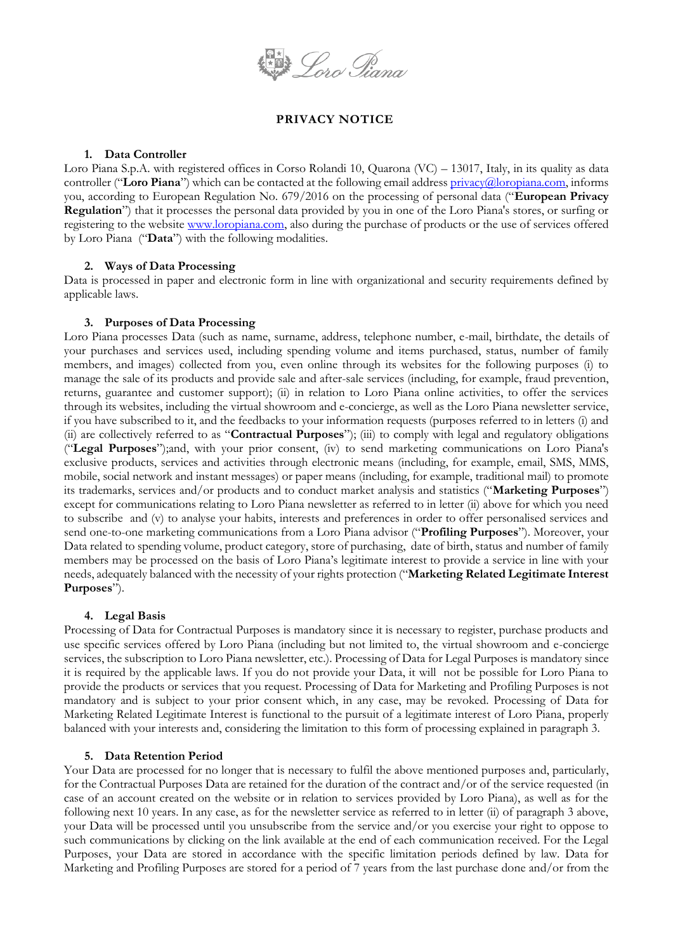

# **PRIVACY NOTICE**

#### **1. Data Controller**

Loro Piana S.p.A. with registered offices in Corso Rolandi 10, Quarona (VC) – 13017, Italy, in its quality as data controller ("**Loro Piana**") which can be contacted at the following email address **privacy@loropiana.com**, informs you, according to European Regulation No. 679/2016 on the processing of personal data ("**European Privacy Regulation**") that it processes the personal data provided by you in one of the Loro Piana's stores, or surfing or registering to the website [www.loropiana.com,](http://www.loropiana.com/) also during the purchase of products or the use of services offered by Loro Piana ("**Data**") with the following modalities.

## **2. Ways of Data Processing**

Data is processed in paper and electronic form in line with organizational and security requirements defined by applicable laws.

## **3. Purposes of Data Processing**

Loro Piana processes Data (such as name, surname, address, telephone number, e-mail, birthdate, the details of your purchases and services used, including spending volume and items purchased, status, number of family members, and images) collected from you, even online through its websites for the following purposes (i) to manage the sale of its products and provide sale and after-sale services (including, for example, fraud prevention, returns, guarantee and customer support); (ii) in relation to Loro Piana online activities, to offer the services through its websites, including the virtual showroom and e-concierge, as well as the Loro Piana newsletter service, if you have subscribed to it, and the feedbacks to your information requests (purposes referred to in letters (i) and (ii) are collectively referred to as "**Contractual Purposes**"); (iii) to comply with legal and regulatory obligations ("**Legal Purposes**");and, with your prior consent, (iv) to send marketing communications on Loro Piana's exclusive products, services and activities through electronic means (including, for example, email, SMS, MMS, mobile, social network and instant messages) or paper means (including, for example, traditional mail) to promote its trademarks, services and/or products and to conduct market analysis and statistics ("**Marketing Purposes**") except for communications relating to Loro Piana newsletter as referred to in letter (ii) above for which you need to subscribe and (v) to analyse your habits, interests and preferences in order to offer personalised services and send one-to-one marketing communications from a Loro Piana advisor ("**Profiling Purposes**"). Moreover, your Data related to spending volume, product category, store of purchasing, date of birth, status and number of family members may be processed on the basis of Loro Piana's legitimate interest to provide a service in line with your needs, adequately balanced with the necessity of your rights protection ("**Marketing Related Legitimate Interest Purposes**").

## **4. Legal Basis**

Processing of Data for Contractual Purposes is mandatory since it is necessary to register, purchase products and use specific services offered by Loro Piana (including but not limited to, the virtual showroom and e-concierge services, the subscription to Loro Piana newsletter, etc.). Processing of Data for Legal Purposes is mandatory since it is required by the applicable laws. If you do not provide your Data, it will not be possible for Loro Piana to provide the products or services that you request. Processing of Data for Marketing and Profiling Purposes is not mandatory and is subject to your prior consent which, in any case, may be revoked. Processing of Data for Marketing Related Legitimate Interest is functional to the pursuit of a legitimate interest of Loro Piana, properly balanced with your interests and, considering the limitation to this form of processing explained in paragraph 3.

## **5. Data Retention Period**

Your Data are processed for no longer that is necessary to fulfil the above mentioned purposes and, particularly, for the Contractual Purposes Data are retained for the duration of the contract and/or of the service requested (in case of an account created on the website or in relation to services provided by Loro Piana), as well as for the following next 10 years. In any case, as for the newsletter service as referred to in letter (ii) of paragraph 3 above, your Data will be processed until you unsubscribe from the service and/or you exercise your right to oppose to such communications by clicking on the link available at the end of each communication received. For the Legal Purposes, your Data are stored in accordance with the specific limitation periods defined by law. Data for Marketing and Profiling Purposes are stored for a period of 7 years from the last purchase done and/or from the